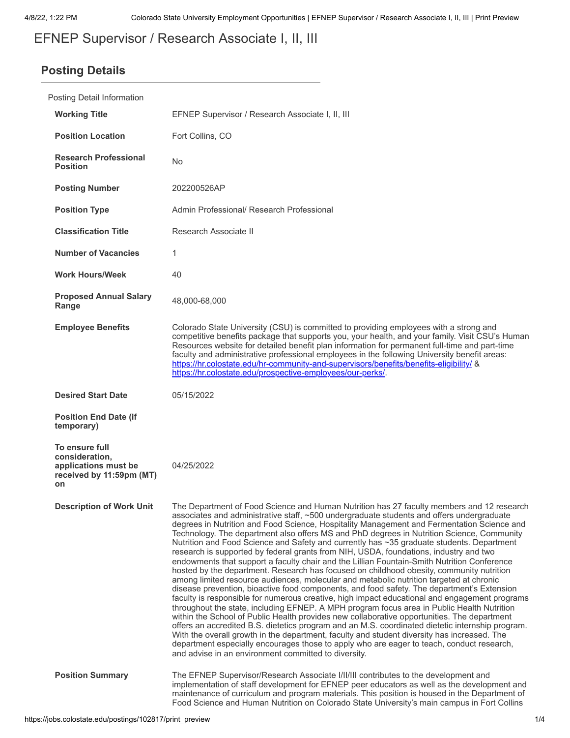# EFNEP Supervisor / Research Associate I, II, III

## **Posting Details**

| Posting Detail Information                                                                 |                                                                                                                                                                                                                                                                                                                                                                                                                                                                                                                                                                                                                                                                                                                                                                                                                                                                                                                                                                                                                                                                                                                                                                                                                                                                                                                                                                                                                                                                                                                                                                                                                   |  |
|--------------------------------------------------------------------------------------------|-------------------------------------------------------------------------------------------------------------------------------------------------------------------------------------------------------------------------------------------------------------------------------------------------------------------------------------------------------------------------------------------------------------------------------------------------------------------------------------------------------------------------------------------------------------------------------------------------------------------------------------------------------------------------------------------------------------------------------------------------------------------------------------------------------------------------------------------------------------------------------------------------------------------------------------------------------------------------------------------------------------------------------------------------------------------------------------------------------------------------------------------------------------------------------------------------------------------------------------------------------------------------------------------------------------------------------------------------------------------------------------------------------------------------------------------------------------------------------------------------------------------------------------------------------------------------------------------------------------------|--|
| <b>Working Title</b>                                                                       | EFNEP Supervisor / Research Associate I, II, III                                                                                                                                                                                                                                                                                                                                                                                                                                                                                                                                                                                                                                                                                                                                                                                                                                                                                                                                                                                                                                                                                                                                                                                                                                                                                                                                                                                                                                                                                                                                                                  |  |
| <b>Position Location</b>                                                                   | Fort Collins, CO                                                                                                                                                                                                                                                                                                                                                                                                                                                                                                                                                                                                                                                                                                                                                                                                                                                                                                                                                                                                                                                                                                                                                                                                                                                                                                                                                                                                                                                                                                                                                                                                  |  |
| <b>Research Professional</b><br><b>Position</b>                                            | No                                                                                                                                                                                                                                                                                                                                                                                                                                                                                                                                                                                                                                                                                                                                                                                                                                                                                                                                                                                                                                                                                                                                                                                                                                                                                                                                                                                                                                                                                                                                                                                                                |  |
| <b>Posting Number</b>                                                                      | 202200526AP                                                                                                                                                                                                                                                                                                                                                                                                                                                                                                                                                                                                                                                                                                                                                                                                                                                                                                                                                                                                                                                                                                                                                                                                                                                                                                                                                                                                                                                                                                                                                                                                       |  |
| <b>Position Type</b>                                                                       | Admin Professional/ Research Professional                                                                                                                                                                                                                                                                                                                                                                                                                                                                                                                                                                                                                                                                                                                                                                                                                                                                                                                                                                                                                                                                                                                                                                                                                                                                                                                                                                                                                                                                                                                                                                         |  |
| <b>Classification Title</b>                                                                | Research Associate II                                                                                                                                                                                                                                                                                                                                                                                                                                                                                                                                                                                                                                                                                                                                                                                                                                                                                                                                                                                                                                                                                                                                                                                                                                                                                                                                                                                                                                                                                                                                                                                             |  |
| <b>Number of Vacancies</b>                                                                 | 1                                                                                                                                                                                                                                                                                                                                                                                                                                                                                                                                                                                                                                                                                                                                                                                                                                                                                                                                                                                                                                                                                                                                                                                                                                                                                                                                                                                                                                                                                                                                                                                                                 |  |
| <b>Work Hours/Week</b>                                                                     | 40                                                                                                                                                                                                                                                                                                                                                                                                                                                                                                                                                                                                                                                                                                                                                                                                                                                                                                                                                                                                                                                                                                                                                                                                                                                                                                                                                                                                                                                                                                                                                                                                                |  |
| <b>Proposed Annual Salary</b><br>Range                                                     | 48.000-68.000                                                                                                                                                                                                                                                                                                                                                                                                                                                                                                                                                                                                                                                                                                                                                                                                                                                                                                                                                                                                                                                                                                                                                                                                                                                                                                                                                                                                                                                                                                                                                                                                     |  |
| <b>Employee Benefits</b>                                                                   | Colorado State University (CSU) is committed to providing employees with a strong and<br>competitive benefits package that supports you, your health, and your family. Visit CSU's Human<br>Resources website for detailed benefit plan information for permanent full-time and part-time<br>faculty and administrative professional employees in the following University benefit areas:<br>https://hr.colostate.edu/hr-community-and-supervisors/benefits/benefits-eligibility/ &<br>https://hr.colostate.edu/prospective-employees/our-perks/.                                                                                                                                                                                                                                                                                                                                                                                                                                                                                                                                                                                                                                                                                                                                                                                                                                                                                                                                                                                                                                                                 |  |
| <b>Desired Start Date</b>                                                                  | 05/15/2022                                                                                                                                                                                                                                                                                                                                                                                                                                                                                                                                                                                                                                                                                                                                                                                                                                                                                                                                                                                                                                                                                                                                                                                                                                                                                                                                                                                                                                                                                                                                                                                                        |  |
| <b>Position End Date (if</b><br>temporary)                                                 |                                                                                                                                                                                                                                                                                                                                                                                                                                                                                                                                                                                                                                                                                                                                                                                                                                                                                                                                                                                                                                                                                                                                                                                                                                                                                                                                                                                                                                                                                                                                                                                                                   |  |
| To ensure full<br>consideration,<br>applications must be<br>received by 11:59pm (MT)<br>on | 04/25/2022                                                                                                                                                                                                                                                                                                                                                                                                                                                                                                                                                                                                                                                                                                                                                                                                                                                                                                                                                                                                                                                                                                                                                                                                                                                                                                                                                                                                                                                                                                                                                                                                        |  |
| <b>Description of Work Unit</b>                                                            | The Department of Food Science and Human Nutrition has 27 faculty members and 12 research<br>associates and administrative staff, ~500 undergraduate students and offers undergraduate<br>degrees in Nutrition and Food Science, Hospitality Management and Fermentation Science and<br>Technology. The department also offers MS and PhD degrees in Nutrition Science, Community<br>Nutrition and Food Science and Safety and currently has ~35 graduate students. Department<br>research is supported by federal grants from NIH, USDA, foundations, industry and two<br>endowments that support a faculty chair and the Lillian Fountain-Smith Nutrition Conference<br>hosted by the department. Research has focused on childhood obesity, community nutrition<br>among limited resource audiences, molecular and metabolic nutrition targeted at chronic<br>disease prevention, bioactive food components, and food safety. The department's Extension<br>faculty is responsible for numerous creative, high impact educational and engagement programs<br>throughout the state, including EFNEP. A MPH program focus area in Public Health Nutrition<br>within the School of Public Health provides new collaborative opportunities. The department<br>offers an accredited B.S. dietetics program and an M.S. coordinated dietetic internship program.<br>With the overall growth in the department, faculty and student diversity has increased. The<br>department especially encourages those to apply who are eager to teach, conduct research,<br>and advise in an environment committed to diversity. |  |
| <b>Position Summary</b>                                                                    | The EFNEP Supervisor/Research Associate I/II/III contributes to the development and<br>implementation of staff development for EFNEP peer educators as well as the development and<br>maintenance of curriculum and program materials. This position is housed in the Department of<br>Food Science and Human Nutrition on Colorado State University's main campus in Fort Collins                                                                                                                                                                                                                                                                                                                                                                                                                                                                                                                                                                                                                                                                                                                                                                                                                                                                                                                                                                                                                                                                                                                                                                                                                                |  |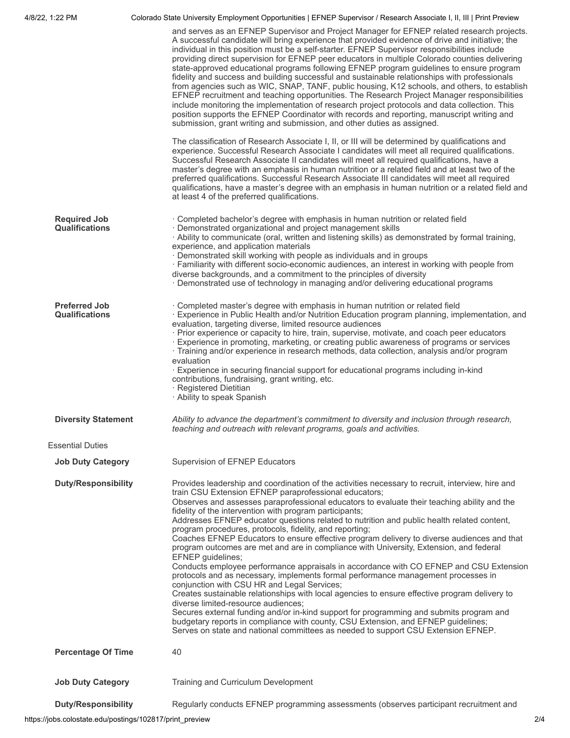| 4/8/22, 1:22 PM                               | Colorado State University Employment Opportunities   EFNEP Supervisor / Research Associate I, II, III   Print Preview                                                                                                                                                                                                                                                                                                                                                                                                                                                                                                                                                                                                                                                                                                                                                                                                                                                                                                                                                                                                                                                                                                                                                                                                                                                                                                                                                                                                                                                       |
|-----------------------------------------------|-----------------------------------------------------------------------------------------------------------------------------------------------------------------------------------------------------------------------------------------------------------------------------------------------------------------------------------------------------------------------------------------------------------------------------------------------------------------------------------------------------------------------------------------------------------------------------------------------------------------------------------------------------------------------------------------------------------------------------------------------------------------------------------------------------------------------------------------------------------------------------------------------------------------------------------------------------------------------------------------------------------------------------------------------------------------------------------------------------------------------------------------------------------------------------------------------------------------------------------------------------------------------------------------------------------------------------------------------------------------------------------------------------------------------------------------------------------------------------------------------------------------------------------------------------------------------------|
|                                               | and serves as an EFNEP Supervisor and Project Manager for EFNEP related research projects.<br>A successful candidate will bring experience that provided evidence of drive and initiative; the<br>individual in this position must be a self-starter. EFNEP Supervisor responsibilities include<br>providing direct supervision for EFNEP peer educators in multiple Colorado counties delivering<br>state-approved educational programs following EFNEP program guidelines to ensure program<br>fidelity and success and building successful and sustainable relationships with professionals<br>from agencies such as WIC, SNAP, TANF, public housing, K12 schools, and others, to establish<br>EFNEP recruitment and teaching opportunities. The Research Project Manager responsibilities<br>include monitoring the implementation of research project protocols and data collection. This<br>position supports the EFNEP Coordinator with records and reporting, manuscript writing and<br>submission, grant writing and submission, and other duties as assigned.<br>The classification of Research Associate I, II, or III will be determined by qualifications and<br>experience. Successful Research Associate I candidates will meet all required qualifications.<br>Successful Research Associate II candidates will meet all required qualifications, have a<br>master's degree with an emphasis in human nutrition or a related field and at least two of the<br>preferred qualifications. Successful Research Associate III candidates will meet all required |
|                                               | qualifications, have a master's degree with an emphasis in human nutrition or a related field and<br>at least 4 of the preferred qualifications.                                                                                                                                                                                                                                                                                                                                                                                                                                                                                                                                                                                                                                                                                                                                                                                                                                                                                                                                                                                                                                                                                                                                                                                                                                                                                                                                                                                                                            |
| <b>Required Job</b><br><b>Qualifications</b>  | · Completed bachelor's degree with emphasis in human nutrition or related field<br>· Demonstrated organizational and project management skills<br>· Ability to communicate (oral, written and listening skills) as demonstrated by formal training,<br>experience, and application materials<br>· Demonstrated skill working with people as individuals and in groups<br>· Familiarity with different socio-economic audiences, an interest in working with people from<br>diverse backgrounds, and a commitment to the principles of diversity<br>· Demonstrated use of technology in managing and/or delivering educational programs                                                                                                                                                                                                                                                                                                                                                                                                                                                                                                                                                                                                                                                                                                                                                                                                                                                                                                                                      |
| <b>Preferred Job</b><br><b>Qualifications</b> | · Completed master's degree with emphasis in human nutrition or related field<br>· Experience in Public Health and/or Nutrition Education program planning, implementation, and<br>evaluation, targeting diverse, limited resource audiences<br>· Prior experience or capacity to hire, train, supervise, motivate, and coach peer educators<br>Experience in promoting, marketing, or creating public awareness of programs or services<br>· Training and/or experience in research methods, data collection, analysis and/or program<br>evaluation<br>· Experience in securing financial support for educational programs including in-kind<br>contributions, fundraising, grant writing, etc.<br>· Registered Dietitian<br>· Ability to speak Spanish                                                                                                                                                                                                                                                                                                                                                                                                                                                                                                                                                                                                                                                                                                                                                                                                                    |
| <b>Diversity Statement</b>                    | Ability to advance the department's commitment to diversity and inclusion through research,<br>teaching and outreach with relevant programs, goals and activities.                                                                                                                                                                                                                                                                                                                                                                                                                                                                                                                                                                                                                                                                                                                                                                                                                                                                                                                                                                                                                                                                                                                                                                                                                                                                                                                                                                                                          |
| <b>Essential Duties</b>                       |                                                                                                                                                                                                                                                                                                                                                                                                                                                                                                                                                                                                                                                                                                                                                                                                                                                                                                                                                                                                                                                                                                                                                                                                                                                                                                                                                                                                                                                                                                                                                                             |
| <b>Job Duty Category</b>                      | Supervision of EFNEP Educators                                                                                                                                                                                                                                                                                                                                                                                                                                                                                                                                                                                                                                                                                                                                                                                                                                                                                                                                                                                                                                                                                                                                                                                                                                                                                                                                                                                                                                                                                                                                              |
| <b>Duty/Responsibility</b>                    | Provides leadership and coordination of the activities necessary to recruit, interview, hire and<br>train CSU Extension EFNEP paraprofessional educators;<br>Observes and assesses paraprofessional educators to evaluate their teaching ability and the<br>fidelity of the intervention with program participants;<br>Addresses EFNEP educator questions related to nutrition and public health related content,<br>program procedures, protocols, fidelity, and reporting;<br>Coaches EFNEP Educators to ensure effective program delivery to diverse audiences and that<br>program outcomes are met and are in compliance with University, Extension, and federal<br>EFNEP guidelines;<br>Conducts employee performance appraisals in accordance with CO EFNEP and CSU Extension<br>protocols and as necessary, implements formal performance management processes in<br>conjunction with CSU HR and Legal Services;<br>Creates sustainable relationships with local agencies to ensure effective program delivery to<br>diverse limited-resource audiences:<br>Secures external funding and/or in-kind support for programming and submits program and<br>budgetary reports in compliance with county, CSU Extension, and EFNEP guidelines;<br>Serves on state and national committees as needed to support CSU Extension EFNEP.                                                                                                                                                                                                                                        |
| <b>Percentage Of Time</b>                     | 40                                                                                                                                                                                                                                                                                                                                                                                                                                                                                                                                                                                                                                                                                                                                                                                                                                                                                                                                                                                                                                                                                                                                                                                                                                                                                                                                                                                                                                                                                                                                                                          |
| <b>Job Duty Category</b>                      | Training and Curriculum Development                                                                                                                                                                                                                                                                                                                                                                                                                                                                                                                                                                                                                                                                                                                                                                                                                                                                                                                                                                                                                                                                                                                                                                                                                                                                                                                                                                                                                                                                                                                                         |
| <b>Duty/Responsibility</b>                    | Regularly conducts EFNEP programming assessments (observes participant recruitment and                                                                                                                                                                                                                                                                                                                                                                                                                                                                                                                                                                                                                                                                                                                                                                                                                                                                                                                                                                                                                                                                                                                                                                                                                                                                                                                                                                                                                                                                                      |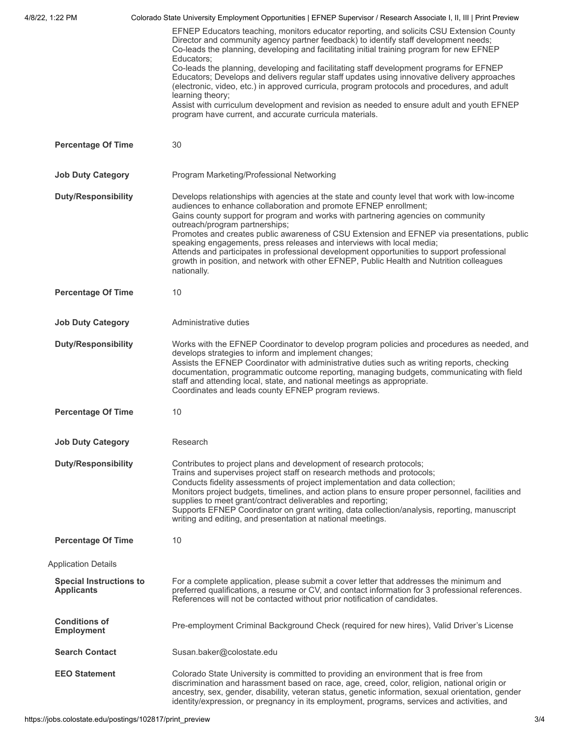| 4/8/22, 1:22 PM                                     | Colorado State University Employment Opportunities   EFNEP Supervisor / Research Associate I, II, III   Print Preview                                                                                                                                                                                                                                                                                                                                                                                                                                                                                                                                                  |  |
|-----------------------------------------------------|------------------------------------------------------------------------------------------------------------------------------------------------------------------------------------------------------------------------------------------------------------------------------------------------------------------------------------------------------------------------------------------------------------------------------------------------------------------------------------------------------------------------------------------------------------------------------------------------------------------------------------------------------------------------|--|
|                                                     | EFNEP Educators teaching, monitors educator reporting, and solicits CSU Extension County<br>Director and community agency partner feedback) to identify staff development needs;<br>Co-leads the planning, developing and facilitating initial training program for new EFNEP<br>Educators:                                                                                                                                                                                                                                                                                                                                                                            |  |
|                                                     | Co-leads the planning, developing and facilitating staff development programs for EFNEP<br>Educators; Develops and delivers regular staff updates using innovative delivery approaches<br>(electronic, video, etc.) in approved curricula, program protocols and procedures, and adult<br>learning theory;                                                                                                                                                                                                                                                                                                                                                             |  |
|                                                     | Assist with curriculum development and revision as needed to ensure adult and youth EFNEP<br>program have current, and accurate curricula materials.                                                                                                                                                                                                                                                                                                                                                                                                                                                                                                                   |  |
| <b>Percentage Of Time</b>                           | 30                                                                                                                                                                                                                                                                                                                                                                                                                                                                                                                                                                                                                                                                     |  |
| <b>Job Duty Category</b>                            | Program Marketing/Professional Networking                                                                                                                                                                                                                                                                                                                                                                                                                                                                                                                                                                                                                              |  |
| <b>Duty/Responsibility</b>                          | Develops relationships with agencies at the state and county level that work with low-income<br>audiences to enhance collaboration and promote EFNEP enrollment;<br>Gains county support for program and works with partnering agencies on community<br>outreach/program partnerships;<br>Promotes and creates public awareness of CSU Extension and EFNEP via presentations, public<br>speaking engagements, press releases and interviews with local media;<br>Attends and participates in professional development opportunities to support professional<br>growth in position, and network with other EFNEP, Public Health and Nutrition colleagues<br>nationally. |  |
| <b>Percentage Of Time</b>                           | 10                                                                                                                                                                                                                                                                                                                                                                                                                                                                                                                                                                                                                                                                     |  |
| <b>Job Duty Category</b>                            | Administrative duties                                                                                                                                                                                                                                                                                                                                                                                                                                                                                                                                                                                                                                                  |  |
| <b>Duty/Responsibility</b>                          | Works with the EFNEP Coordinator to develop program policies and procedures as needed, and<br>develops strategies to inform and implement changes;<br>Assists the EFNEP Coordinator with administrative duties such as writing reports, checking<br>documentation, programmatic outcome reporting, managing budgets, communicating with field<br>staff and attending local, state, and national meetings as appropriate.<br>Coordinates and leads county EFNEP program reviews.                                                                                                                                                                                        |  |
| <b>Percentage Of Time</b>                           | 10                                                                                                                                                                                                                                                                                                                                                                                                                                                                                                                                                                                                                                                                     |  |
| <b>Job Duty Category</b>                            | Research                                                                                                                                                                                                                                                                                                                                                                                                                                                                                                                                                                                                                                                               |  |
| <b>Duty/Responsibility</b>                          | Contributes to project plans and development of research protocols;<br>Trains and supervises project staff on research methods and protocols;<br>Conducts fidelity assessments of project implementation and data collection;<br>Monitors project budgets, timelines, and action plans to ensure proper personnel, facilities and<br>supplies to meet grant/contract deliverables and reporting;<br>Supports EFNEP Coordinator on grant writing, data collection/analysis, reporting, manuscript<br>writing and editing, and presentation at national meetings.                                                                                                        |  |
| <b>Percentage Of Time</b>                           | 10                                                                                                                                                                                                                                                                                                                                                                                                                                                                                                                                                                                                                                                                     |  |
| <b>Application Details</b>                          |                                                                                                                                                                                                                                                                                                                                                                                                                                                                                                                                                                                                                                                                        |  |
| <b>Special Instructions to</b><br><b>Applicants</b> | For a complete application, please submit a cover letter that addresses the minimum and<br>preferred qualifications, a resume or CV, and contact information for 3 professional references.<br>References will not be contacted without prior notification of candidates.                                                                                                                                                                                                                                                                                                                                                                                              |  |
| <b>Conditions of</b><br><b>Employment</b>           | Pre-employment Criminal Background Check (required for new hires), Valid Driver's License                                                                                                                                                                                                                                                                                                                                                                                                                                                                                                                                                                              |  |
| <b>Search Contact</b>                               | Susan.baker@colostate.edu                                                                                                                                                                                                                                                                                                                                                                                                                                                                                                                                                                                                                                              |  |
| <b>EEO Statement</b>                                | Colorado State University is committed to providing an environment that is free from<br>discrimination and harassment based on race, age, creed, color, religion, national origin or<br>ancestry, sex, gender, disability, veteran status, genetic information, sexual orientation, gender<br>identity/expression, or pregnancy in its employment, programs, services and activities, and                                                                                                                                                                                                                                                                              |  |